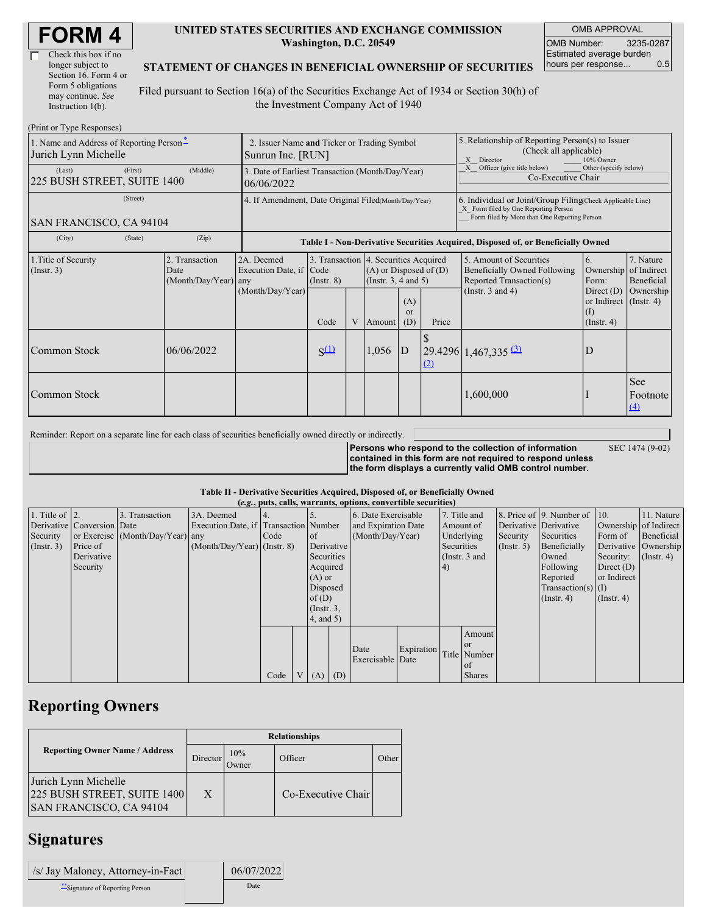| Check this box if no  |
|-----------------------|
| longer subject to     |
| Section 16. Form 4 or |
| Form 5 obligations    |
| may continue. See     |
| Instruction $1(b)$ .  |

#### **UNITED STATES SECURITIES AND EXCHANGE COMMISSION Washington, D.C. 20549**

OMB APPROVAL OMB Number: 3235-0287 Estimated average burden hours per response... 0.5

#### **STATEMENT OF CHANGES IN BENEFICIAL OWNERSHIP OF SECURITIES**

Filed pursuant to Section 16(a) of the Securities Exchange Act of 1934 or Section 30(h) of the Investment Company Act of 1940

| (Print or Type Responses)                                        |         |                                                |                                                                                  |                                 |   |        |                                                                                                                                     |     |                                                                                                                                                    |                                                                                                     |                                                     |  |
|------------------------------------------------------------------|---------|------------------------------------------------|----------------------------------------------------------------------------------|---------------------------------|---|--------|-------------------------------------------------------------------------------------------------------------------------------------|-----|----------------------------------------------------------------------------------------------------------------------------------------------------|-----------------------------------------------------------------------------------------------------|-----------------------------------------------------|--|
| 1. Name and Address of Reporting Person-<br>Jurich Lynn Michelle |         |                                                | 2. Issuer Name and Ticker or Trading Symbol<br>Sunrun Inc. [RUN]                 |                                 |   |        |                                                                                                                                     |     | 5. Relationship of Reporting Person(s) to Issuer<br>(Check all applicable)<br>Director<br>10% Owner<br>$\mathbf{X}$                                |                                                                                                     |                                                     |  |
| (First)<br>(Middle)<br>(Last)<br>225 BUSH STREET, SUITE 1400     |         |                                                | 3. Date of Earliest Transaction (Month/Day/Year)<br>06/06/2022                   |                                 |   |        |                                                                                                                                     |     | Officer (give title below)<br>Other (specify below)<br>Co-Executive Chair                                                                          |                                                                                                     |                                                     |  |
| (Street)<br>SAN FRANCISCO, CA 94104                              |         |                                                | 4. If Amendment, Date Original Filed(Month/Day/Year)                             |                                 |   |        |                                                                                                                                     |     | 6. Individual or Joint/Group Filing(Check Applicable Line)<br>X Form filed by One Reporting Person<br>Form filed by More than One Reporting Person |                                                                                                     |                                                     |  |
| (City)                                                           | (State) | (Zip)                                          | Table I - Non-Derivative Securities Acquired, Disposed of, or Beneficially Owned |                                 |   |        |                                                                                                                                     |     |                                                                                                                                                    |                                                                                                     |                                                     |  |
| 1. Title of Security<br>(Insert. 3)                              |         | 2. Transaction<br>Date<br>(Month/Day/Year) any | 2A. Deemed<br>Execution Date, if<br>(Month/Day/Year)                             | Code<br>$($ Instr. $8)$<br>Code | V | Amount | 3. Transaction 4. Securities Acquired<br>$(A)$ or Disposed of $(D)$<br>(Insert. 3, 4 and 5)<br>(A)<br><sub>or</sub><br>Price<br>(D) |     | 5. Amount of Securities<br>Beneficially Owned Following<br>Reported Transaction(s)<br>(Instr. $3$ and $4$ )                                        | 6.<br>Ownership<br>Form:<br>Direct $(D)$<br>or Indirect $($ Instr. 4 $)$<br>(1)<br>$($ Instr. 4 $)$ | 7. Nature<br>of Indirect<br>Beneficial<br>Ownership |  |
| Common Stock                                                     |         | 06/06/2022                                     |                                                                                  | $S^{(1)}$                       |   | 1,056  | D                                                                                                                                   | (2) | $29.4296$ 1,467,335 (3)                                                                                                                            | D                                                                                                   |                                                     |  |
| Common Stock                                                     |         |                                                |                                                                                  |                                 |   |        |                                                                                                                                     |     | 1,600,000                                                                                                                                          |                                                                                                     | See<br>Footnote<br>(4)                              |  |

Reminder: Report on a separate line for each class of securities beneficially owned directly or indirectly.

**Persons who respond to the collection of information contained in this form are not required to respond unless the form displays a currently valid OMB control number.**

SEC 1474 (9-02)

**Table II - Derivative Securities Acquired, Disposed of, or Beneficially Owned**

| (e.g., puts, calls, warrants, options, convertible securities) |                            |                                  |                                       |      |                |                 |                     |                          |            |               |               |                       |                              |                       |                      |
|----------------------------------------------------------------|----------------------------|----------------------------------|---------------------------------------|------|----------------|-----------------|---------------------|--------------------------|------------|---------------|---------------|-----------------------|------------------------------|-----------------------|----------------------|
| 1. Title of $\vert$ 2.                                         |                            | 3. Transaction                   | 3A. Deemed                            |      |                |                 |                     | 6. Date Exercisable      |            | 7. Title and  |               |                       | 8. Price of 9. Number of 10. |                       | 11. Nature           |
|                                                                | Derivative Conversion Date |                                  | Execution Date, if Transaction Number |      |                |                 | and Expiration Date |                          | Amount of  |               |               | Derivative Derivative |                              | Ownership of Indirect |                      |
| Security                                                       |                            | or Exercise (Month/Day/Year) any |                                       | Code |                | $\circ$ f       |                     | (Month/Day/Year)         |            | Underlying    |               | Security              | Securities                   | Form of               | Beneficial           |
| (Insert. 3)                                                    | Price of                   |                                  | $(Month/Day/Year)$ (Instr. 8)         |      |                | Derivative      |                     |                          |            | Securities    |               | (Insert, 5)           | Beneficially                 |                       | Derivative Ownership |
|                                                                | Derivative                 |                                  |                                       |      |                | Securities      |                     |                          |            | (Instr. 3 and |               |                       | Owned                        | Security:             | $($ Instr. 4 $)$     |
|                                                                | Security                   |                                  |                                       |      |                | Acquired        |                     |                          |            | (4)           |               |                       | Following                    | Direct $(D)$          |                      |
|                                                                |                            |                                  |                                       |      |                | $(A)$ or        |                     |                          |            |               |               |                       | Reported                     | or Indirect           |                      |
|                                                                |                            |                                  |                                       |      |                | Disposed        |                     |                          |            |               |               |                       | $Transaction(s)$ (I)         |                       |                      |
|                                                                |                            |                                  |                                       |      |                | of $(D)$        |                     |                          |            |               |               |                       | $($ Instr. 4)                | $($ Instr. 4 $)$      |                      |
|                                                                |                            |                                  |                                       |      |                | $($ Instr. $3,$ |                     |                          |            |               |               |                       |                              |                       |                      |
|                                                                |                            |                                  |                                       |      |                | 4, and 5)       |                     |                          |            |               |               |                       |                              |                       |                      |
|                                                                |                            |                                  |                                       |      |                |                 |                     |                          |            |               | Amount        |                       |                              |                       |                      |
|                                                                |                            |                                  |                                       |      |                |                 |                     |                          |            |               | <b>or</b>     |                       |                              |                       |                      |
|                                                                |                            |                                  |                                       |      |                |                 |                     | Date<br>Exercisable Date | Expiration |               | Title Number  |                       |                              |                       |                      |
|                                                                |                            |                                  |                                       |      |                |                 |                     |                          |            |               | of            |                       |                              |                       |                      |
|                                                                |                            |                                  |                                       | Code | V <sub>1</sub> | $(A)$ $(D)$     |                     |                          |            |               | <b>Shares</b> |                       |                              |                       |                      |

# **Reporting Owners**

|                                                                                       | <b>Relationships</b> |              |                    |       |  |  |  |  |
|---------------------------------------------------------------------------------------|----------------------|--------------|--------------------|-------|--|--|--|--|
| <b>Reporting Owner Name / Address</b>                                                 | Director             | 10%<br>Owner | Officer            | Other |  |  |  |  |
| Jurich Lynn Michelle<br>225 BUSH STREET, SUITE 1400<br><b>SAN FRANCISCO, CA 94104</b> | X                    |              | Co-Executive Chair |       |  |  |  |  |

### **Signatures**

| /s/ Jay Maloney, Attorney-in-Fact | 06/07/2022 |
|-----------------------------------|------------|
| ** Signature of Reporting Person  | Date       |